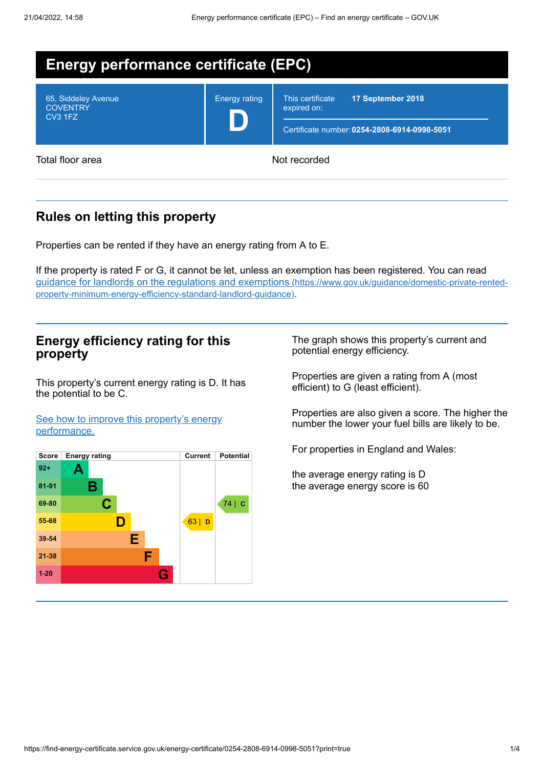

# **Rules on letting this property**

Properties can be rented if they have an energy rating from A to E.

If the property is rated F or G, it cannot be let, unless an exemption has been registered. You can read guidance for landlords on the regulations and exemptions (https://www.gov.uk/guidance/domestic-private-rented[property-minimum-energy-efficiency-standard-landlord-guidance\)](https://www.gov.uk/guidance/domestic-private-rented-property-minimum-energy-efficiency-standard-landlord-guidance).

## **Energy efficiency rating for this property**

This property's current energy rating is D. It has the potential to be C.

See how to improve this property's energy [performance.](#page-2-0)



The graph shows this property's current and potential energy efficiency.

Properties are given a rating from A (most efficient) to G (least efficient).

Properties are also given a score. The higher the number the lower your fuel bills are likely to be.

For properties in England and Wales:

the average energy rating is D the average energy score is 60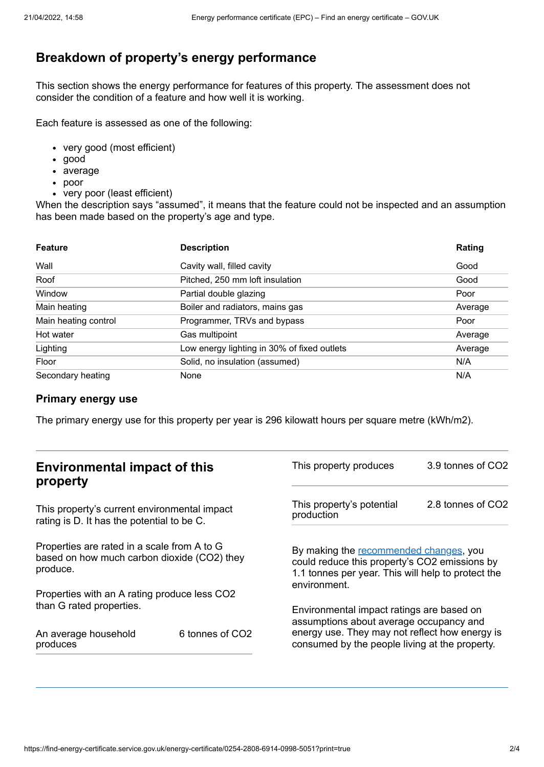# **Breakdown of property's energy performance**

This section shows the energy performance for features of this property. The assessment does not consider the condition of a feature and how well it is working.

Each feature is assessed as one of the following:

- very good (most efficient)
- good
- average
- poor
- very poor (least efficient)

When the description says "assumed", it means that the feature could not be inspected and an assumption has been made based on the property's age and type.

| <b>Feature</b>       | <b>Description</b>                          | Rating  |
|----------------------|---------------------------------------------|---------|
| Wall                 | Cavity wall, filled cavity                  | Good    |
| Roof                 | Pitched, 250 mm loft insulation             | Good    |
| Window               | Partial double glazing                      | Poor    |
| Main heating         | Boiler and radiators, mains gas             | Average |
| Main heating control | Programmer, TRVs and bypass                 | Poor    |
| Hot water            | Gas multipoint                              | Average |
| Lighting             | Low energy lighting in 30% of fixed outlets | Average |
| Floor                | Solid, no insulation (assumed)              | N/A     |
| Secondary heating    | None                                        | N/A     |

#### **Primary energy use**

The primary energy use for this property per year is 296 kilowatt hours per square metre (kWh/m2).

| <b>Environmental impact of this</b><br>property                                                        |                 | This property produces                                                                                                                                        | 3.9 tonnes of CO2 |
|--------------------------------------------------------------------------------------------------------|-----------------|---------------------------------------------------------------------------------------------------------------------------------------------------------------|-------------------|
| This property's current environmental impact<br>rating is D. It has the potential to be C.             |                 | This property's potential<br>production                                                                                                                       | 2.8 tonnes of CO2 |
| Properties are rated in a scale from A to G<br>based on how much carbon dioxide (CO2) they<br>produce. |                 | By making the recommended changes, you<br>could reduce this property's CO2 emissions by<br>1.1 tonnes per year. This will help to protect the<br>environment. |                   |
| Properties with an A rating produce less CO2                                                           |                 |                                                                                                                                                               |                   |
| than G rated properties.                                                                               |                 | Environmental impact ratings are based on<br>assumptions about average occupancy and                                                                          |                   |
| An average household<br>produces                                                                       | 6 tonnes of CO2 | energy use. They may not reflect how energy is<br>consumed by the people living at the property.                                                              |                   |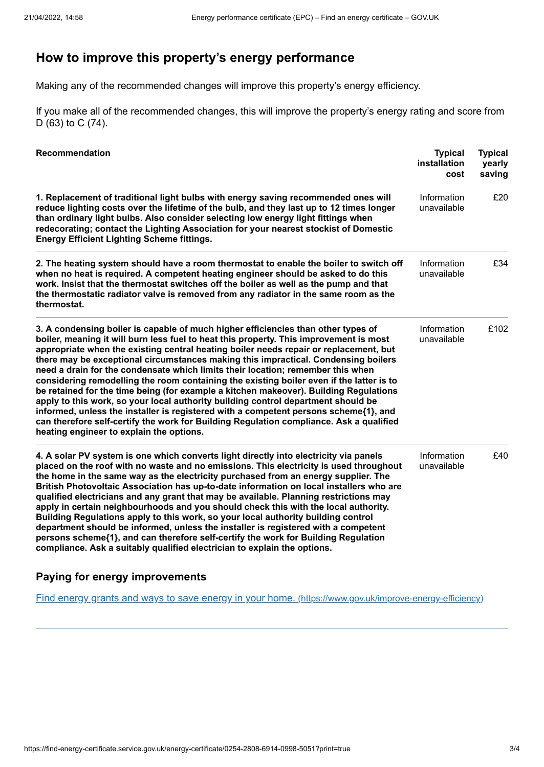# <span id="page-2-0"></span>**How to improve this property's energy performance**

Making any of the recommended changes will improve this property's energy efficiency.

If you make all of the recommended changes, this will improve the property's energy rating and score from D (63) to C (74).

| Recommendation                                                                                                                                                                                                                                                                                                                                                                                                                                                                                                                                                                                                                                                                                                                                                                                                                                                                                                                                         | <b>Typical</b><br>installation<br>cost | <b>Typical</b><br>yearly<br>saving |
|--------------------------------------------------------------------------------------------------------------------------------------------------------------------------------------------------------------------------------------------------------------------------------------------------------------------------------------------------------------------------------------------------------------------------------------------------------------------------------------------------------------------------------------------------------------------------------------------------------------------------------------------------------------------------------------------------------------------------------------------------------------------------------------------------------------------------------------------------------------------------------------------------------------------------------------------------------|----------------------------------------|------------------------------------|
| 1. Replacement of traditional light bulbs with energy saving recommended ones will<br>reduce lighting costs over the lifetime of the bulb, and they last up to 12 times longer<br>than ordinary light bulbs. Also consider selecting low energy light fittings when<br>redecorating; contact the Lighting Association for your nearest stockist of Domestic<br><b>Energy Efficient Lighting Scheme fittings.</b>                                                                                                                                                                                                                                                                                                                                                                                                                                                                                                                                       | Information<br>unavailable             | £20                                |
| 2. The heating system should have a room thermostat to enable the boiler to switch off<br>when no heat is required. A competent heating engineer should be asked to do this<br>work. Insist that the thermostat switches off the boiler as well as the pump and that<br>the thermostatic radiator valve is removed from any radiator in the same room as the<br>thermostat.                                                                                                                                                                                                                                                                                                                                                                                                                                                                                                                                                                            | Information<br>unavailable             | £34                                |
| 3. A condensing boiler is capable of much higher efficiencies than other types of<br>boiler, meaning it will burn less fuel to heat this property. This improvement is most<br>appropriate when the existing central heating boiler needs repair or replacement, but<br>there may be exceptional circumstances making this impractical. Condensing boilers<br>need a drain for the condensate which limits their location; remember this when<br>considering remodelling the room containing the existing boiler even if the latter is to<br>be retained for the time being (for example a kitchen makeover). Building Regulations<br>apply to this work, so your local authority building control department should be<br>informed, unless the installer is registered with a competent persons scheme{1}, and<br>can therefore self-certify the work for Building Regulation compliance. Ask a qualified<br>heating engineer to explain the options. | Information<br>unavailable             | £102                               |
| 4. A solar PV system is one which converts light directly into electricity via panels<br>placed on the roof with no waste and no emissions. This electricity is used throughout<br>the home in the same way as the electricity purchased from an energy supplier. The<br>British Photovoltaic Association has up-to-date information on local installers who are<br>qualified electricians and any grant that may be available. Planning restrictions may<br>apply in certain neighbourhoods and you should check this with the local authority.<br>Building Regulations apply to this work, so your local authority building control<br>department should be informed, unless the installer is registered with a competent<br>persons scheme{1}, and can therefore self-certify the work for Building Regulation<br>compliance. Ask a suitably qualified electrician to explain the options.                                                          | Information<br>unavailable             | f40                                |

## **Paying for energy improvements**

Find energy grants and ways to save energy in your home. [\(https://www.gov.uk/improve-energy-efficiency\)](https://www.gov.uk/improve-energy-efficiency)